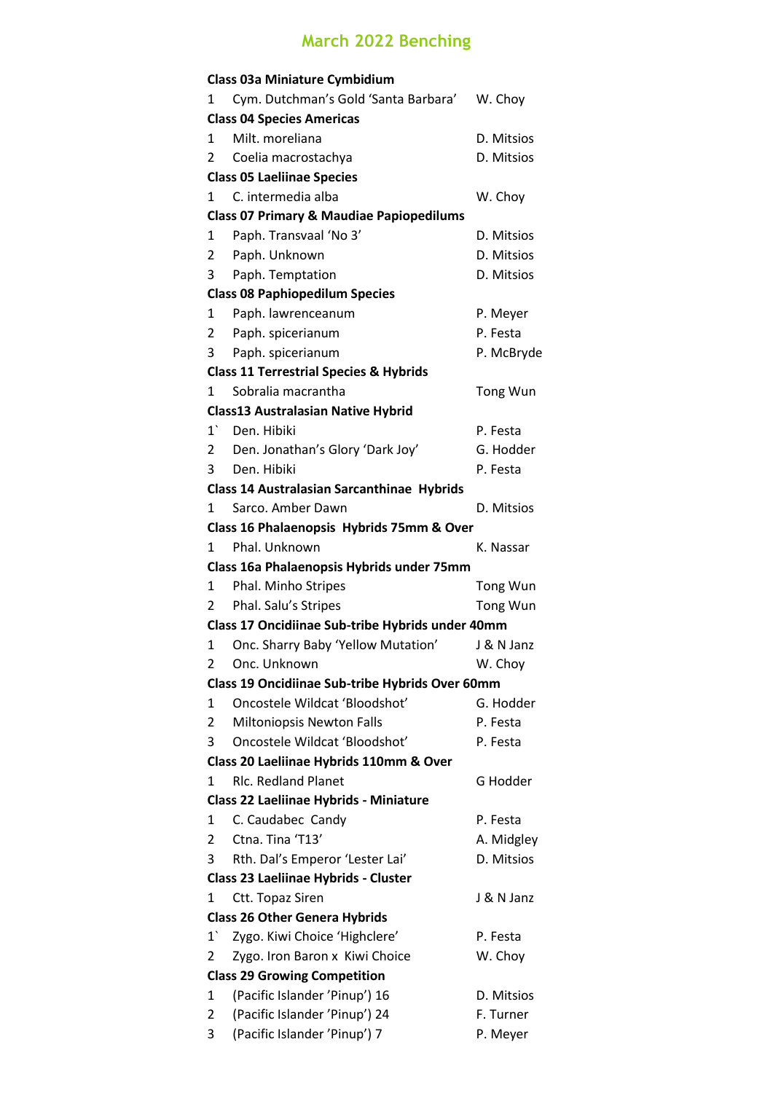## **March 2022 Benching**

|                                         | <b>Class 03a Miniature Cymbidium</b>                |            |  |  |  |
|-----------------------------------------|-----------------------------------------------------|------------|--|--|--|
| 1                                       | Cym. Dutchman's Gold 'Santa Barbara'                | W. Choy    |  |  |  |
|                                         | <b>Class 04 Species Americas</b>                    |            |  |  |  |
| 1                                       | Milt. moreliana                                     | D. Mitsios |  |  |  |
| 2                                       | Coelia macrostachya                                 | D. Mitsios |  |  |  |
|                                         | <b>Class 05 Laeliinae Species</b>                   |            |  |  |  |
| 1                                       | C. intermedia alba                                  | W. Choy    |  |  |  |
|                                         | <b>Class 07 Primary &amp; Maudiae Papiopedilums</b> |            |  |  |  |
| 1                                       | Paph. Transvaal 'No 3'                              | D. Mitsios |  |  |  |
| $\overline{2}$                          | Paph. Unknown                                       | D. Mitsios |  |  |  |
| 3                                       | Paph. Temptation                                    | D. Mitsios |  |  |  |
|                                         | <b>Class 08 Paphiopedilum Species</b>               |            |  |  |  |
| 1                                       | Paph. lawrenceanum                                  | P. Meyer   |  |  |  |
| $\overline{2}$                          | Paph. spicerianum                                   | P. Festa   |  |  |  |
| 3                                       | Paph. spicerianum                                   | P. McBryde |  |  |  |
|                                         | <b>Class 11 Terrestrial Species &amp; Hybrids</b>   |            |  |  |  |
| 1                                       | Sobralia macrantha                                  | Tong Wun   |  |  |  |
|                                         | <b>Class13 Australasian Native Hybrid</b>           |            |  |  |  |
| $1^{\degree}$                           | Den. Hibiki                                         | P. Festa   |  |  |  |
| $\overline{2}$                          | Den. Jonathan's Glory 'Dark Joy'                    | G. Hodder  |  |  |  |
| 3                                       | Den. Hibiki                                         | P. Festa   |  |  |  |
|                                         | <b>Class 14 Australasian Sarcanthinae Hybrids</b>   |            |  |  |  |
| 1                                       | Sarco, Amber Dawn                                   | D. Mitsios |  |  |  |
|                                         | Class 16 Phalaenopsis Hybrids 75mm & Over           |            |  |  |  |
| 1                                       | Phal. Unknown                                       | K. Nassar  |  |  |  |
|                                         | Class 16a Phalaenopsis Hybrids under 75mm           |            |  |  |  |
| 1                                       | Phal. Minho Stripes                                 | Tong Wun   |  |  |  |
| $\overline{2}$                          | Phal. Salu's Stripes                                | Tong Wun   |  |  |  |
|                                         | Class 17 Oncidiinae Sub-tribe Hybrids under 40mm    |            |  |  |  |
| 1                                       | Onc. Sharry Baby 'Yellow Mutation'                  | J & N Janz |  |  |  |
| 2                                       | Onc. Unknown                                        | W. Choy    |  |  |  |
|                                         | Class 19 Oncidiinae Sub-tribe Hybrids Over 60mm     |            |  |  |  |
| 1                                       | Oncostele Wildcat 'Bloodshot'                       | G. Hodder  |  |  |  |
| 2                                       | <b>Miltoniopsis Newton Falls</b>                    | P. Festa   |  |  |  |
| 3                                       | Oncostele Wildcat 'Bloodshot'                       | P. Festa   |  |  |  |
| Class 20 Laeliinae Hybrids 110mm & Over |                                                     |            |  |  |  |
| 1                                       | <b>RIc. Redland Planet</b>                          | G Hodder   |  |  |  |
| Class 22 Laeliinae Hybrids - Miniature  |                                                     |            |  |  |  |
| 1                                       | C. Caudabec Candy                                   | P. Festa   |  |  |  |
| 2                                       | Ctna. Tina 'T13'                                    | A. Midgley |  |  |  |
| 3                                       | Rth. Dal's Emperor 'Lester Lai'                     | D. Mitsios |  |  |  |
|                                         | Class 23 Laeliinae Hybrids - Cluster                |            |  |  |  |
| 1                                       | Ctt. Topaz Siren                                    | J & N Janz |  |  |  |
| <b>Class 26 Other Genera Hybrids</b>    |                                                     |            |  |  |  |
| $1^{\circ}$                             | Zygo. Kiwi Choice 'Highclere'                       | P. Festa   |  |  |  |
| 2                                       | Zygo. Iron Baron x Kiwi Choice                      | W. Choy    |  |  |  |
| <b>Class 29 Growing Competition</b>     |                                                     |            |  |  |  |
| 1                                       | (Pacific Islander 'Pinup') 16                       | D. Mitsios |  |  |  |
| 2                                       | (Pacific Islander 'Pinup') 24                       | F. Turner  |  |  |  |
| 3                                       | (Pacific Islander 'Pinup') 7                        | P. Meyer   |  |  |  |